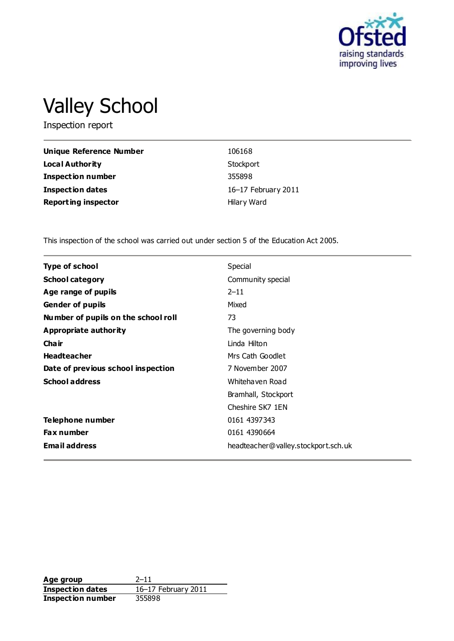

# Valley School

Inspection report

| Unique Reference Number    | 106168              |
|----------------------------|---------------------|
| <b>Local Authority</b>     | Stockport           |
| <b>Inspection number</b>   | 355898              |
| <b>Inspection dates</b>    | 16-17 February 2011 |
| <b>Reporting inspector</b> | Hilary Ward         |

This inspection of the school was carried out under section 5 of the Education Act 2005.

| Type of school                      | Special                             |
|-------------------------------------|-------------------------------------|
| <b>School category</b>              | Community special                   |
| Age range of pupils                 | $2 - 11$                            |
| <b>Gender of pupils</b>             | Mixed                               |
| Number of pupils on the school roll | 73                                  |
| Appropriate authority               | The governing body                  |
| Cha ir                              | Linda Hilton                        |
| <b>Headteacher</b>                  | Mrs Cath Goodlet                    |
| Date of previous school inspection  | 7 November 2007                     |
| <b>School address</b>               | Whitehaven Road                     |
|                                     | Bramhall, Stockport                 |
|                                     | Cheshire SK7 1EN                    |
| Telephone number                    | 0161 4397343                        |
| <b>Fax number</b>                   | 0161 4390664                        |
| <b>Email address</b>                | headteacher@valley.stockport.sch.uk |

**Age group** 2–11<br> **Inspection dates** 16–17 February 2011 **Inspection dates** 16–17 February 2011 **Inspection number** 355898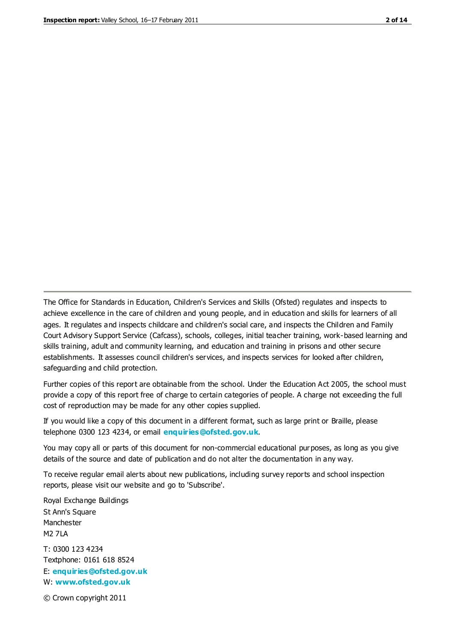The Office for Standards in Education, Children's Services and Skills (Ofsted) regulates and inspects to achieve excellence in the care of children and young people, and in education and skills for learners of all ages. It regulates and inspects childcare and children's social care, and inspects the Children and Family Court Advisory Support Service (Cafcass), schools, colleges, initial teacher training, work-based learning and skills training, adult and community learning, and education and training in prisons and other secure establishments. It assesses council children's services, and inspects services for looked after children, safeguarding and child protection.

Further copies of this report are obtainable from the school. Under the Education Act 2005, the school must provide a copy of this report free of charge to certain categories of people. A charge not exceeding the full cost of reproduction may be made for any other copies supplied.

If you would like a copy of this document in a different format, such as large print or Braille, please telephone 0300 123 4234, or email **[enquiries@ofsted.gov.uk](mailto:enquiries@ofsted.gov.uk)**.

You may copy all or parts of this document for non-commercial educational purposes, as long as you give details of the source and date of publication and do not alter the documentation in any way.

To receive regular email alerts about new publications, including survey reports and school inspection reports, please visit our website and go to 'Subscribe'.

Royal Exchange Buildings St Ann's Square Manchester M2 7LA T: 0300 123 4234 Textphone: 0161 618 8524 E: **[enquiries@ofsted.gov.uk](mailto:enquiries@ofsted.gov.uk)**

W: **[www.ofsted.gov.uk](http://www.ofsted.gov.uk/)**

© Crown copyright 2011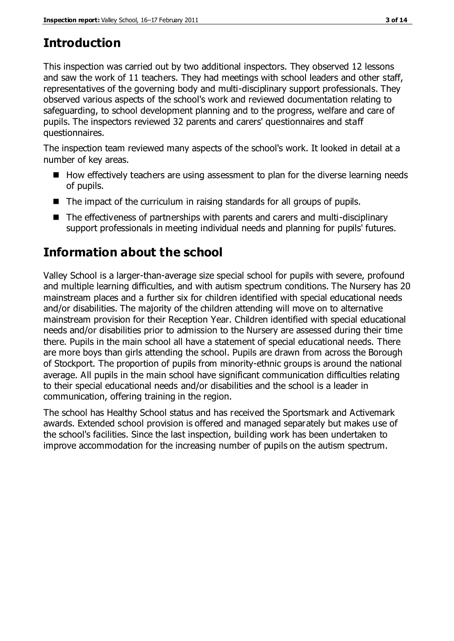# **Introduction**

This inspection was carried out by two additional inspectors. They observed 12 lessons and saw the work of 11 teachers. They had meetings with school leaders and other staff, representatives of the governing body and multi-disciplinary support professionals. They observed various aspects of the school's work and reviewed documentation relating to safeguarding, to school development planning and to the progress, welfare and care of pupils. The inspectors reviewed 32 parents and carers' questionnaires and staff questionnaires.

The inspection team reviewed many aspects of the school's work. It looked in detail at a number of key areas.

- $\blacksquare$  How effectively teachers are using assessment to plan for the diverse learning needs of pupils.
- The impact of the curriculum in raising standards for all groups of pupils.
- The effectiveness of partnerships with parents and carers and multi-disciplinary support professionals in meeting individual needs and planning for pupils' futures.

# **Information about the school**

Valley School is a larger-than-average size special school for pupils with severe, profound and multiple learning difficulties, and with autism spectrum conditions. The Nursery has 20 mainstream places and a further six for children identified with special educational needs and/or disabilities. The majority of the children attending will move on to alternative mainstream provision for their Reception Year. Children identified with special educational needs and/or disabilities prior to admission to the Nursery are assessed during their time there. Pupils in the main school all have a statement of special educational needs. There are more boys than girls attending the school. Pupils are drawn from across the Borough of Stockport. The proportion of pupils from minority-ethnic groups is around the national average. All pupils in the main school have significant communication difficulties relating to their special educational needs and/or disabilities and the school is a leader in communication, offering training in the region.

The school has Healthy School status and has received the Sportsmark and Activemark awards. Extended school provision is offered and managed separately but makes use of the school's facilities. Since the last inspection, building work has been undertaken to improve accommodation for the increasing number of pupils on the autism spectrum.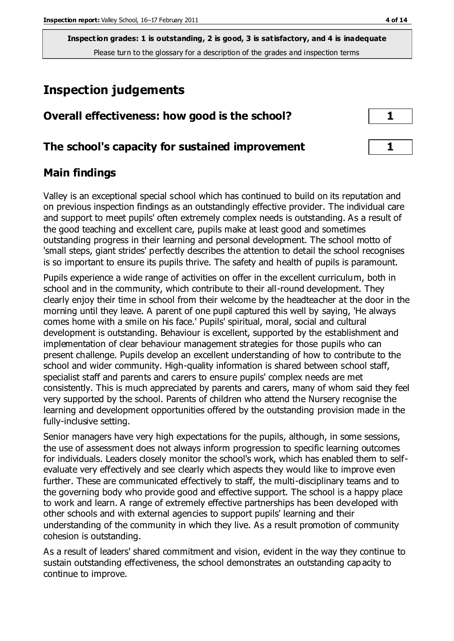## **Inspection judgements**

| Overall effectiveness: how good is the school?  |  |
|-------------------------------------------------|--|
| The school's capacity for sustained improvement |  |

## **Main findings**

Valley is an exceptional special school which has continued to build on its reputation and on previous inspection findings as an outstandingly effective provider. The individual care and support to meet pupils' often extremely complex needs is outstanding. As a result of the good teaching and excellent care, pupils make at least good and sometimes outstanding progress in their learning and personal development. The school motto of 'small steps, giant strides' perfectly describes the attention to detail the school recognises is so important to ensure its pupils thrive. The safety and health of pupils is paramount.

Pupils experience a wide range of activities on offer in the excellent curriculum, both in school and in the community, which contribute to their all-round development. They clearly enjoy their time in school from their welcome by the headteacher at the door in the morning until they leave. A parent of one pupil captured this well by saying, 'He always comes home with a smile on his face.' Pupils' spiritual, moral, social and cultural development is outstanding. Behaviour is excellent, supported by the establishment and implementation of clear behaviour management strategies for those pupils who can present challenge. Pupils develop an excellent understanding of how to contribute to the school and wider community. High-quality information is shared between school staff, specialist staff and parents and carers to ensure pupils' complex needs are met consistently. This is much appreciated by parents and carers, many of whom said they feel very supported by the school. Parents of children who attend the Nursery recognise the learning and development opportunities offered by the outstanding provision made in the fully-inclusive setting.

Senior managers have very high expectations for the pupils, although, in some sessions, the use of assessment does not always inform progression to specific learning outcomes for individuals. Leaders closely monitor the school's work, which has enabled them to selfevaluate very effectively and see clearly which aspects they would like to improve even further. These are communicated effectively to staff, the multi-disciplinary teams and to the governing body who provide good and effective support. The school is a happy place to work and learn. A range of extremely effective partnerships has been developed with other schools and with external agencies to support pupils' learning and their understanding of the community in which they live. As a result promotion of community cohesion is outstanding.

As a result of leaders' shared commitment and vision, evident in the way they continue to sustain outstanding effectiveness, the school demonstrates an outstanding cap acity to continue to improve.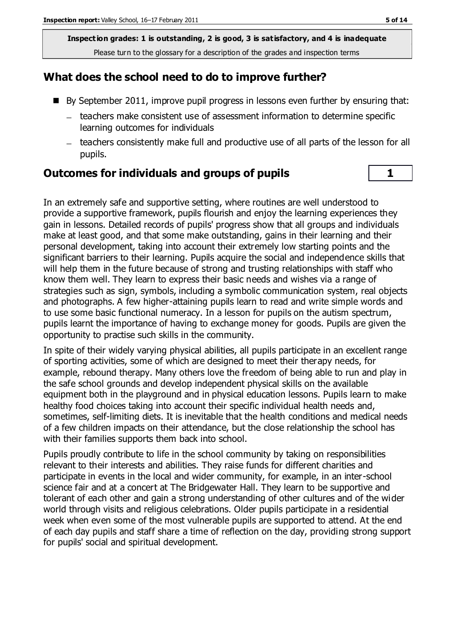## **What does the school need to do to improve further?**

- By September 2011, improve pupil progress in lessons even further by ensuring that:
	- teachers make consistent use of assessment information to determine specific learning outcomes for individuals
	- teachers consistently make full and productive use of all parts of the lesson for all pupils.

## **Outcomes for individuals and groups of pupils 1**

In an extremely safe and supportive setting, where routines are well understood to provide a supportive framework, pupils flourish and enjoy the learning experiences they gain in lessons. Detailed records of pupils' progress show that all groups and individuals make at least good, and that some make outstanding, gains in their learning and their personal development, taking into account their extremely low starting points and the significant barriers to their learning. Pupils acquire the social and independence skills that will help them in the future because of strong and trusting relationships with staff who know them well. They learn to express their basic needs and wishes via a range of strategies such as sign, symbols, including a symbolic communication system, real objects and photographs. A few higher-attaining pupils learn to read and write simple words and to use some basic functional numeracy. In a lesson for pupils on the autism spectrum, pupils learnt the importance of having to exchange money for goods. Pupils are given the opportunity to practise such skills in the community.

In spite of their widely varying physical abilities, all pupils participate in an excellent range of sporting activities, some of which are designed to meet their therapy needs, for example, rebound therapy. Many others love the freedom of being able to run and play in the safe school grounds and develop independent physical skills on the available equipment both in the playground and in physical education lessons. Pupils learn to make healthy food choices taking into account their specific individual health needs and, sometimes, self-limiting diets. It is inevitable that the health conditions and medical needs of a few children impacts on their attendance, but the close relationship the school has with their families supports them back into school.

Pupils proudly contribute to life in the school community by taking on responsibilities relevant to their interests and abilities. They raise funds for different charities and participate in events in the local and wider community, for example, in an inter-school science fair and at a concert at The Bridgewater Hall. They learn to be supportive and tolerant of each other and gain a strong understanding of other cultures and of the wider world through visits and religious celebrations. Older pupils participate in a residential week when even some of the most vulnerable pupils are supported to attend. At the end of each day pupils and staff share a time of reflection on the day, providing strong support for pupils' social and spiritual development.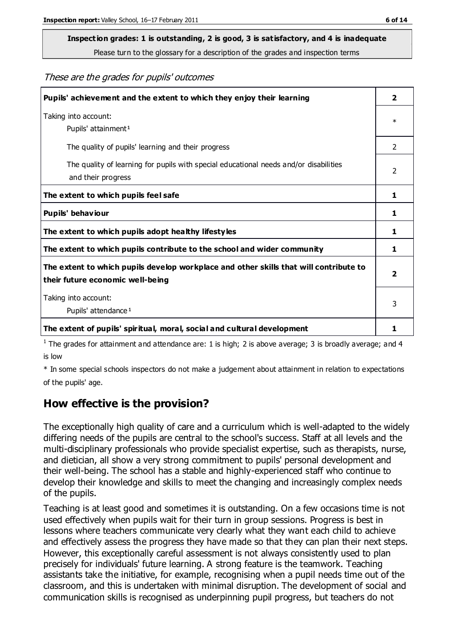# **Inspection grades: 1 is outstanding, 2 is good, 3 is satisfactory, and 4 is inadequate**

Please turn to the glossary for a description of the grades and inspection terms

#### These are the grades for pupils' outcomes

| Pupils' achievement and the extent to which they enjoy their learning                                                     | $\overline{2}$ |
|---------------------------------------------------------------------------------------------------------------------------|----------------|
| Taking into account:<br>Pupils' attainment <sup>1</sup>                                                                   | $\ast$         |
| The quality of pupils' learning and their progress                                                                        | $\mathcal{P}$  |
| The quality of learning for pupils with special educational needs and/or disabilities<br>and their progress               | $\overline{2}$ |
| The extent to which pupils feel safe                                                                                      | 1              |
| Pupils' behaviour                                                                                                         | 1              |
| The extent to which pupils adopt healthy lifestyles                                                                       | 1              |
| The extent to which pupils contribute to the school and wider community                                                   | 1              |
| The extent to which pupils develop workplace and other skills that will contribute to<br>their future economic well-being |                |
| Taking into account:<br>Pupils' attendance <sup>1</sup>                                                                   | 3              |
| The extent of pupils' spiritual, moral, social and cultural development                                                   | 1              |

<sup>1</sup> The grades for attainment and attendance are: 1 is high; 2 is above average; 3 is broadly average; and 4 is low

\* In some special schools inspectors do not make a judgement about attainment in relation to expectations of the pupils' age.

## **How effective is the provision?**

The exceptionally high quality of care and a curriculum which is well-adapted to the widely differing needs of the pupils are central to the school's success. Staff at all levels and the multi-disciplinary professionals who provide specialist expertise, such as therapists, nurse, and dietician, all show a very strong commitment to pupils' personal development and their well-being. The school has a stable and highly-experienced staff who continue to develop their knowledge and skills to meet the changing and increasingly complex needs of the pupils.

Teaching is at least good and sometimes it is outstanding. On a few occasions time is not used effectively when pupils wait for their turn in group sessions. Progress is best in lessons where teachers communicate very clearly what they want each child to achieve and effectively assess the progress they have made so that they can plan their next steps. However, this exceptionally careful assessment is not always consistently used to plan precisely for individuals' future learning. A strong feature is the teamwork. Teaching assistants take the initiative, for example, recognising when a pupil needs time out of the classroom, and this is undertaken with minimal disruption. The development of social and communication skills is recognised as underpinning pupil progress, but teachers do not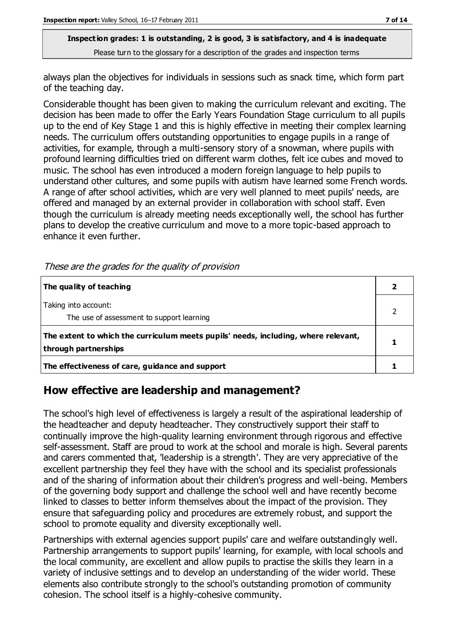always plan the objectives for individuals in sessions such as snack time, which form part of the teaching day.

Considerable thought has been given to making the curriculum relevant and exciting. The decision has been made to offer the Early Years Foundation Stage curriculum to all pupils up to the end of Key Stage 1 and this is highly effective in meeting their complex learning needs. The curriculum offers outstanding opportunities to engage pupils in a range of activities, for example, through a multi-sensory story of a snowman, where pupils with profound learning difficulties tried on different warm clothes, felt ice cubes and moved to music. The school has even introduced a modern foreign language to help pupils to understand other cultures, and some pupils with autism have learned some French words. A range of after school activities, which are very well planned to meet pupils' needs, are offered and managed by an external provider in collaboration with school staff. Even though the curriculum is already meeting needs exceptionally well, the school has further plans to develop the creative curriculum and move to a more topic-based approach to enhance it even further.

These are the grades for the quality of provision

| The quality of teaching                                                                                    |  |
|------------------------------------------------------------------------------------------------------------|--|
| Taking into account:<br>The use of assessment to support learning                                          |  |
| The extent to which the curriculum meets pupils' needs, including, where relevant,<br>through partnerships |  |
| The effectiveness of care, guidance and support                                                            |  |

## **How effective are leadership and management?**

The school's high level of effectiveness is largely a result of the aspirational leadership of the headteacher and deputy headteacher. They constructively support their staff to continually improve the high-quality learning environment through rigorous and effective self-assessment. Staff are proud to work at the school and morale is high. Several parents and carers commented that, 'leadership is a strength'. They are very appreciative of the excellent partnership they feel they have with the school and its specialist professionals and of the sharing of information about their children's progress and well-being. Members of the governing body support and challenge the school well and have recently become linked to classes to better inform themselves about the impact of the provision. They ensure that safeguarding policy and procedures are extremely robust, and support the school to promote equality and diversity exceptionally well.

Partnerships with external agencies support pupils' care and welfare outstandingly well. Partnership arrangements to support pupils' learning, for example, with local schools and the local community, are excellent and allow pupils to practise the skills they learn in a variety of inclusive settings and to develop an understanding of the wider world. These elements also contribute strongly to the school's outstanding promotion of community cohesion. The school itself is a highly-cohesive community.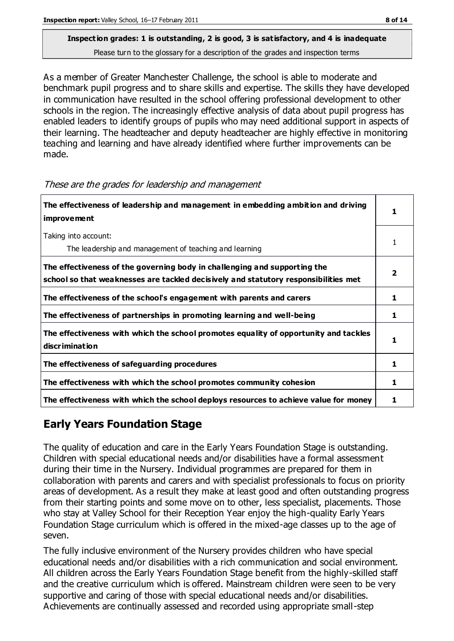As a member of Greater Manchester Challenge, the school is able to moderate and benchmark pupil progress and to share skills and expertise. The skills they have developed in communication have resulted in the school offering professional development to other schools in the region. The increasingly effective analysis of data about pupil progress has enabled leaders to identify groups of pupils who may need additional support in aspects of their learning. The headteacher and deputy headteacher are highly effective in monitoring teaching and learning and have already identified where further improvements can be made.

| The effectiveness of leadership and management in embedding ambition and driving<br>improvement                                                                  |   |
|------------------------------------------------------------------------------------------------------------------------------------------------------------------|---|
| Taking into account:<br>The leadership and management of teaching and learning                                                                                   |   |
| The effectiveness of the governing body in challenging and supporting the<br>school so that weaknesses are tackled decisively and statutory responsibilities met | 2 |
| The effectiveness of the school's engagement with parents and carers                                                                                             | ı |
| The effectiveness of partnerships in promoting learning and well-being                                                                                           | 1 |
| The effectiveness with which the school promotes equality of opportunity and tackles<br>discrimination                                                           |   |
| The effectiveness of safeguarding procedures                                                                                                                     |   |
| The effectiveness with which the school promotes community cohesion                                                                                              |   |
| The effectiveness with which the school deploys resources to achieve value for money                                                                             |   |

These are the grades for leadership and management

## **Early Years Foundation Stage**

The quality of education and care in the Early Years Foundation Stage is outstanding. Children with special educational needs and/or disabilities have a formal assessment during their time in the Nursery. Individual programmes are prepared for them in collaboration with parents and carers and with specialist professionals to focus on priority areas of development. As a result they make at least good and often outstanding progress from their starting points and some move on to other, less specialist, placements. Those who stay at Valley School for their Reception Year enjoy the high-quality Early Years Foundation Stage curriculum which is offered in the mixed-age classes up to the age of seven.

The fully inclusive environment of the Nursery provides children who have special educational needs and/or disabilities with a rich communication and social environment. All children across the Early Years Foundation Stage benefit from the highly-skilled staff and the creative curriculum which is offered. Mainstream children were seen to be very supportive and caring of those with special educational needs and/or disabilities. Achievements are continually assessed and recorded using appropriate small-step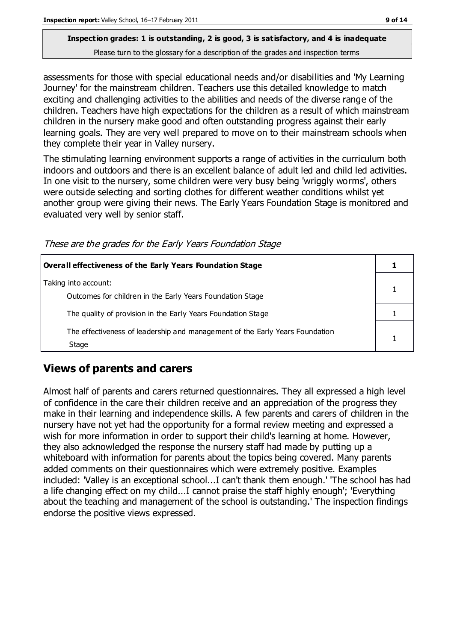assessments for those with special educational needs and/or disabilities and 'My Learning Journey' for the mainstream children. Teachers use this detailed knowledge to match exciting and challenging activities to the abilities and needs of the diverse range of the children. Teachers have high expectations for the children as a result of which mainstream children in the nursery make good and often outstanding progress against their early learning goals. They are very well prepared to move on to their mainstream schools when they complete their year in Valley nursery.

The stimulating learning environment supports a range of activities in the curriculum both indoors and outdoors and there is an excellent balance of adult led and child led activities. In one visit to the nursery, some children were very busy being 'wriggly worms', others were outside selecting and sorting clothes for different weather conditions whilst yet another group were giving their news. The Early Years Foundation Stage is monitored and evaluated very well by senior staff.

These are the grades for the Early Years Foundation Stage

| Overall effectiveness of the Early Years Foundation Stage                             |  |
|---------------------------------------------------------------------------------------|--|
| Taking into account:<br>Outcomes for children in the Early Years Foundation Stage     |  |
| The quality of provision in the Early Years Foundation Stage                          |  |
| The effectiveness of leadership and management of the Early Years Foundation<br>Stage |  |

## **Views of parents and carers**

Almost half of parents and carers returned questionnaires. They all expressed a high level of confidence in the care their children receive and an appreciation of the progress they make in their learning and independence skills. A few parents and carers of children in the nursery have not yet had the opportunity for a formal review meeting and expressed a wish for more information in order to support their child's learning at home. However, they also acknowledged the response the nursery staff had made by putting up a whiteboard with information for parents about the topics being covered. Many parents added comments on their questionnaires which were extremely positive. Examples included: 'Valley is an exceptional school...I can't thank them enough.' 'The school has had a life changing effect on my child...I cannot praise the staff highly enough'; 'Everything about the teaching and management of the school is outstanding.' The inspection findings endorse the positive views expressed.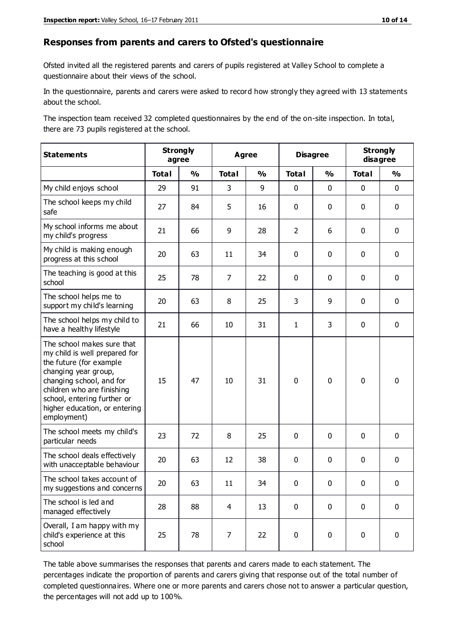#### **Responses from parents and carers to Ofsted's questionnaire**

Ofsted invited all the registered parents and carers of pupils registered at Valley School to complete a questionnaire about their views of the school.

In the questionnaire, parents and carers were asked to record how strongly they agreed with 13 statements about the school.

The inspection team received 32 completed questionnaires by the end of the on-site inspection. In total, there are 73 pupils registered at the school.

| <b>Statements</b>                                                                                                                                                                                                                                       | <b>Strongly</b><br>agree | <b>Agree</b>  |                | <b>Disagree</b> |                | <b>Strongly</b><br>disagree |              |               |
|---------------------------------------------------------------------------------------------------------------------------------------------------------------------------------------------------------------------------------------------------------|--------------------------|---------------|----------------|-----------------|----------------|-----------------------------|--------------|---------------|
|                                                                                                                                                                                                                                                         | <b>Total</b>             | $\frac{0}{0}$ | <b>Total</b>   | $\frac{0}{0}$   | <b>Total</b>   | $\frac{0}{0}$               | <b>Total</b> | $\frac{0}{0}$ |
| My child enjoys school                                                                                                                                                                                                                                  | 29                       | 91            | 3              | 9               | 0              | $\mathbf 0$                 | $\mathbf 0$  | $\mathbf 0$   |
| The school keeps my child<br>safe                                                                                                                                                                                                                       | 27                       | 84            | 5              | 16              | 0              | 0                           | $\mathbf 0$  | $\mathbf 0$   |
| My school informs me about<br>my child's progress                                                                                                                                                                                                       | 21                       | 66            | 9              | 28              | $\overline{2}$ | 6                           | $\mathbf 0$  | $\mathbf 0$   |
| My child is making enough<br>progress at this school                                                                                                                                                                                                    | 20                       | 63            | 11             | 34              | 0              | 0                           | 0            | $\mathbf 0$   |
| The teaching is good at this<br>school                                                                                                                                                                                                                  | 25                       | 78            | $\overline{7}$ | 22              | 0              | 0                           | $\mathbf{0}$ | $\mathbf 0$   |
| The school helps me to<br>support my child's learning                                                                                                                                                                                                   | 20                       | 63            | 8              | 25              | 3              | 9                           | 0            | $\mathbf 0$   |
| The school helps my child to<br>have a healthy lifestyle                                                                                                                                                                                                | 21                       | 66            | 10             | 31              | 1              | 3                           | $\mathbf 0$  | $\mathbf 0$   |
| The school makes sure that<br>my child is well prepared for<br>the future (for example<br>changing year group,<br>changing school, and for<br>children who are finishing<br>school, entering further or<br>higher education, or entering<br>employment) | 15                       | 47            | 10             | 31              | 0              | $\mathbf 0$                 | $\mathbf 0$  | $\mathbf 0$   |
| The school meets my child's<br>particular needs                                                                                                                                                                                                         | 23                       | 72            | 8              | 25              | 0              | 0                           | $\mathbf 0$  | $\mathbf 0$   |
| The school deals effectively<br>with unacceptable behaviour                                                                                                                                                                                             | 20                       | 63            | 12             | 38              | 0              | 0                           | 0            | $\pmb{0}$     |
| The school takes account of<br>my suggestions and concerns                                                                                                                                                                                              | 20                       | 63            | 11             | 34              | 0              | 0                           | 0            | 0             |
| The school is led and<br>managed effectively                                                                                                                                                                                                            | 28                       | 88            | 4              | 13              | 0              | $\mathbf 0$                 | $\mathbf 0$  | $\mathbf 0$   |
| Overall, I am happy with my<br>child's experience at this<br>school                                                                                                                                                                                     | 25                       | 78            | 7              | 22              | 0              | $\mathbf 0$                 | $\mathbf 0$  | $\mathbf 0$   |

The table above summarises the responses that parents and carers made to each statement. The percentages indicate the proportion of parents and carers giving that response out of the total number of completed questionnaires. Where one or more parents and carers chose not to answer a particular question, the percentages will not add up to 100%.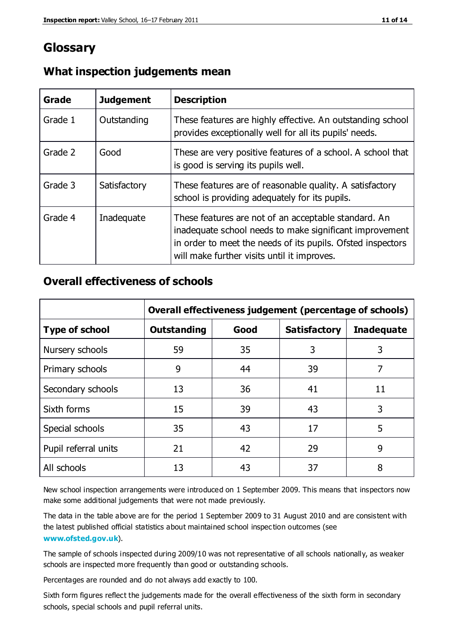## **Glossary**

| Grade   | <b>Judgement</b> | <b>Description</b>                                                                                                                                                                                                            |
|---------|------------------|-------------------------------------------------------------------------------------------------------------------------------------------------------------------------------------------------------------------------------|
| Grade 1 | Outstanding      | These features are highly effective. An outstanding school<br>provides exceptionally well for all its pupils' needs.                                                                                                          |
| Grade 2 | Good             | These are very positive features of a school. A school that<br>is good is serving its pupils well.                                                                                                                            |
| Grade 3 | Satisfactory     | These features are of reasonable quality. A satisfactory<br>school is providing adequately for its pupils.                                                                                                                    |
| Grade 4 | Inadequate       | These features are not of an acceptable standard. An<br>inadequate school needs to make significant improvement<br>in order to meet the needs of its pupils. Ofsted inspectors<br>will make further visits until it improves. |

## **What inspection judgements mean**

## **Overall effectiveness of schools**

|                       | Overall effectiveness judgement (percentage of schools) |      |                     |                   |
|-----------------------|---------------------------------------------------------|------|---------------------|-------------------|
| <b>Type of school</b> | <b>Outstanding</b>                                      | Good | <b>Satisfactory</b> | <b>Inadequate</b> |
| Nursery schools       | 59                                                      | 35   | 3                   | 3                 |
| Primary schools       | 9                                                       | 44   | 39                  | 7                 |
| Secondary schools     | 13                                                      | 36   | 41                  | 11                |
| Sixth forms           | 15                                                      | 39   | 43                  | 3                 |
| Special schools       | 35                                                      | 43   | 17                  | 5                 |
| Pupil referral units  | 21                                                      | 42   | 29                  | 9                 |
| All schools           | 13                                                      | 43   | 37                  | 8                 |

New school inspection arrangements were introduced on 1 September 2009. This means that inspectors now make some additional judgements that were not made previously.

The data in the table above are for the period 1 September 2009 to 31 August 2010 and are consistent with the latest published official statistics about maintained school inspec tion outcomes (see **[www.ofsted.gov.uk](http://www.ofsted.gov.uk/)**).

The sample of schools inspected during 2009/10 was not representative of all schools nationally, as weaker schools are inspected more frequently than good or outstanding schools.

Percentages are rounded and do not always add exactly to 100.

Sixth form figures reflect the judgements made for the overall effectiveness of the sixth form in secondary schools, special schools and pupil referral units.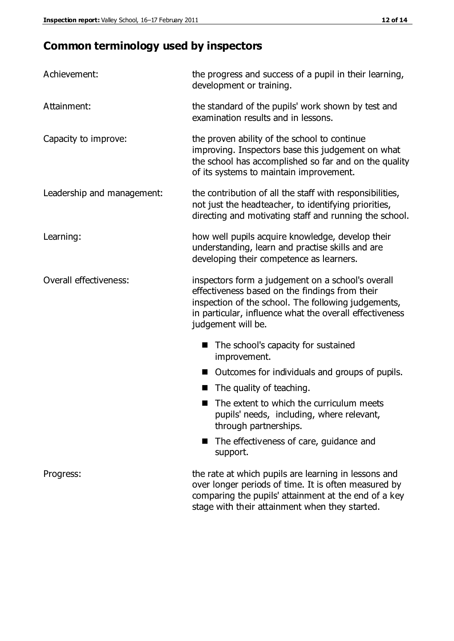## **Common terminology used by inspectors**

| Achievement:               | the progress and success of a pupil in their learning,<br>development or training.                                                                                                                                                          |  |  |
|----------------------------|---------------------------------------------------------------------------------------------------------------------------------------------------------------------------------------------------------------------------------------------|--|--|
| Attainment:                | the standard of the pupils' work shown by test and<br>examination results and in lessons.                                                                                                                                                   |  |  |
| Capacity to improve:       | the proven ability of the school to continue<br>improving. Inspectors base this judgement on what<br>the school has accomplished so far and on the quality<br>of its systems to maintain improvement.                                       |  |  |
| Leadership and management: | the contribution of all the staff with responsibilities,<br>not just the headteacher, to identifying priorities,<br>directing and motivating staff and running the school.                                                                  |  |  |
| Learning:                  | how well pupils acquire knowledge, develop their<br>understanding, learn and practise skills and are<br>developing their competence as learners.                                                                                            |  |  |
| Overall effectiveness:     | inspectors form a judgement on a school's overall<br>effectiveness based on the findings from their<br>inspection of the school. The following judgements,<br>in particular, influence what the overall effectiveness<br>judgement will be. |  |  |
|                            | The school's capacity for sustained<br>improvement.                                                                                                                                                                                         |  |  |
|                            | Outcomes for individuals and groups of pupils.                                                                                                                                                                                              |  |  |
|                            | The quality of teaching.                                                                                                                                                                                                                    |  |  |
|                            | The extent to which the curriculum meets<br>pupils' needs, including, where relevant,<br>through partnerships.                                                                                                                              |  |  |
|                            | The effectiveness of care, guidance and<br>support.                                                                                                                                                                                         |  |  |
| Progress:                  | the rate at which pupils are learning in lessons and<br>over longer periods of time. It is often measured by<br>comparing the pupils' attainment at the end of a key                                                                        |  |  |

stage with their attainment when they started.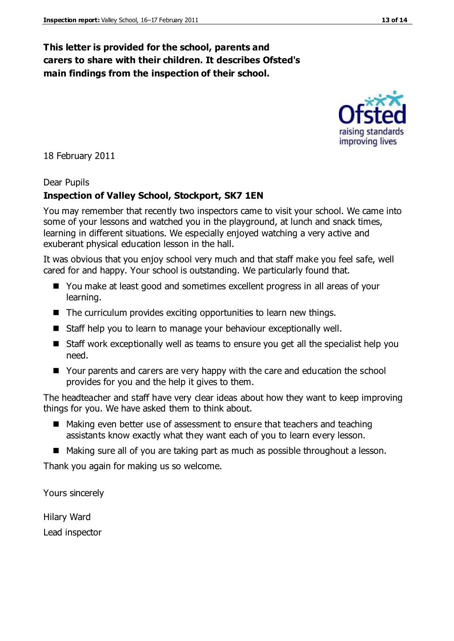## **This letter is provided for the school, parents and carers to share with their children. It describes Ofsted's main findings from the inspection of their school.**

18 February 2011

## Dear Pupils

## **Inspection of Valley School, Stockport, SK7 1EN**

You may remember that recently two inspectors came to visit your school. We came into some of your lessons and watched you in the playground, at lunch and snack times, learning in different situations. We especially enjoyed watching a very active and exuberant physical education lesson in the hall.

It was obvious that you enjoy school very much and that staff make you feel safe, well cared for and happy. Your school is outstanding. We particularly found that.

- You make at least good and sometimes excellent progress in all areas of your learning.
- The curriculum provides exciting opportunities to learn new things.
- Staff help you to learn to manage your behaviour exceptionally well.
- Staff work exceptionally well as teams to ensure you get all the specialist help you need.
- Your parents and carers are very happy with the care and education the school provides for you and the help it gives to them.

The headteacher and staff have very clear ideas about how they want to keep improving things for you. We have asked them to think about.

- Making even better use of assessment to ensure that teachers and teaching assistants know exactly what they want each of you to learn every lesson.
- Making sure all of you are taking part as much as possible throughout a lesson.

Thank you again for making us so welcome.

Yours sincerely

Hilary Ward Lead inspector